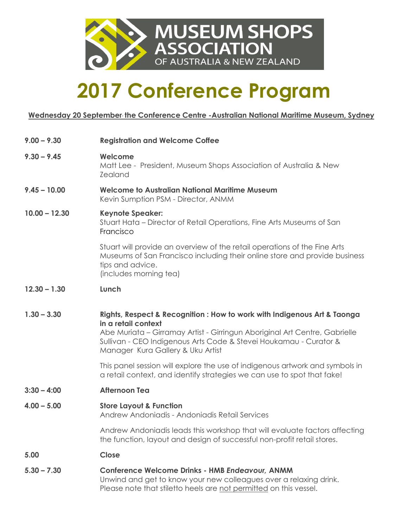

## **2017 Conference Program**

#### **Wednesday 20 September, the Conference Centre -Australian National Maritime Museum, Sydney**

| $9.00 - 9.30$   | <b>Registration and Welcome Coffee</b>                                                                                                                                                                                                                                                  |
|-----------------|-----------------------------------------------------------------------------------------------------------------------------------------------------------------------------------------------------------------------------------------------------------------------------------------|
| $9.30 - 9.45$   | Welcome<br>Matt Lee - President, Museum Shops Association of Australia & New<br><b>Zealand</b>                                                                                                                                                                                          |
| $9.45 - 10.00$  | <b>Welcome to Australian National Maritime Museum</b><br>Kevin Sumption PSM - Director, ANMM                                                                                                                                                                                            |
| $10.00 - 12.30$ | <b>Keynote Speaker:</b><br>Stuart Hata – Director of Retail Operations, Fine Arts Museums of San<br>Francisco                                                                                                                                                                           |
|                 | Stuart will provide an overview of the retail operations of the Fine Arts<br>Museums of San Francisco including their online store and provide business<br>tips and advice.<br>(includes morning tea)                                                                                   |
| $12.30 - 1.30$  | Lunch                                                                                                                                                                                                                                                                                   |
| $1.30 - 3.30$   | Rights, Respect & Recognition : How to work with Indigenous Art & Taonga<br>in a retail context<br>Abe Muriata - Girramay Artist - Girringun Aboriginal Art Centre, Gabrielle<br>Sullivan - CEO Indigenous Arts Code & Stevei Houkamau - Curator &<br>Manager Kura Gallery & Uku Artist |
|                 | This panel session will explore the use of indigenous artwork and symbols in<br>a retail context, and identify strategies we can use to spot that fake!                                                                                                                                 |
| $3:30 - 4:00$   | <b>Afternoon Tea</b>                                                                                                                                                                                                                                                                    |
| $4.00 - 5.00$   | <b>Store Layout &amp; Function</b><br>Andrew Andoniadis - Andoniadis Retail Services                                                                                                                                                                                                    |
|                 | Andrew Andoniadis leads this workshop that will evaluate factors affecting<br>the function, layout and design of successful non-profit retail stores.                                                                                                                                   |
| 5.00            | Close                                                                                                                                                                                                                                                                                   |
| $5.30 - 7.30$   | <b>Conference Welcome Drinks - HMB Endeavour, ANMM</b><br>Unwind and get to know your new colleagues over a relaxing drink.<br>Please note that stiletto heels are not permitted on this vessel.                                                                                        |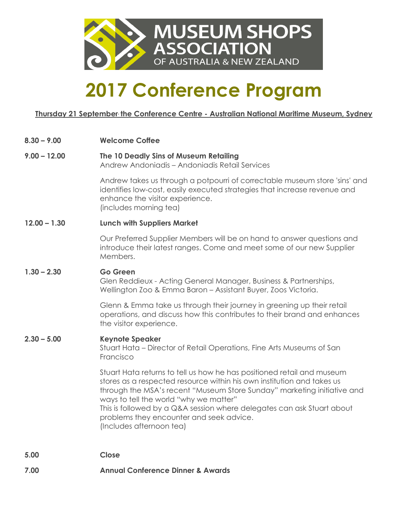

### **2017 Conference Program**

**Thursday 21 September, the Conference Centre - Australian National Maritime Museum, Sydney**

| $8.30 - 9.00$  | <b>Welcome Coffee</b>                                                                                                                                                                                                                                                                                                                                                                                                   |
|----------------|-------------------------------------------------------------------------------------------------------------------------------------------------------------------------------------------------------------------------------------------------------------------------------------------------------------------------------------------------------------------------------------------------------------------------|
| $9.00 - 12.00$ | The 10 Deadly Sins of Museum Retailing<br>Andrew Andoniadis - Andoniadis Retail Services                                                                                                                                                                                                                                                                                                                                |
|                | Andrew takes us through a potpourri of correctable museum store 'sins' and<br>identifies low-cost, easily executed strategies that increase revenue and<br>enhance the visitor experience.<br>(includes morning tea)                                                                                                                                                                                                    |
| $12.00 - 1.30$ | <b>Lunch with Suppliers Market</b>                                                                                                                                                                                                                                                                                                                                                                                      |
|                | Our Preferred Supplier Members will be on hand to answer questions and<br>introduce their latest ranges. Come and meet some of our new Supplier<br>Members.                                                                                                                                                                                                                                                             |
| $1.30 - 2.30$  | <b>Go Green</b><br>Glen Reddieux - Acting General Manager, Business & Partnerships,<br>Wellington Zoo & Emma Baron - Assistant Buyer, Zoos Victoria.                                                                                                                                                                                                                                                                    |
|                | Glenn & Emma take us through their journey in greening up their retail<br>operations, and discuss how this contributes to their brand and enhances<br>the visitor experience.                                                                                                                                                                                                                                           |
| $2.30 - 5.00$  | <b>Keynote Speaker</b><br>Stuart Hata - Director of Retail Operations, Fine Arts Museums of San<br>Francisco                                                                                                                                                                                                                                                                                                            |
|                | Stuart Hata returns to tell us how he has positioned retail and museum<br>stores as a respected resource within his own institution and takes us<br>through the MSA's recent "Museum Store Sunday" marketing initiative and<br>ways to tell the world "why we matter"<br>This is followed by a Q&A session where delegates can ask Stuart about<br>problems they encounter and seek advice.<br>(Includes afternoon tea) |
| 5.00           | <b>Close</b>                                                                                                                                                                                                                                                                                                                                                                                                            |

**7.00 Annual Conference Dinner & Awards**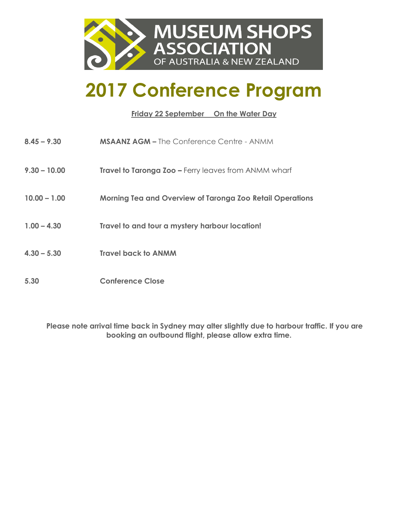

### **2017 Conference Program**

**Friday 22 September On the Water Day**

**8.45 – 9.30 MSAANZ AGM –** The Conference Centre - ANMM **9.30 – 10.00 Travel to Taronga Zoo –** Ferry leaves from ANMM wharf **10.00 – 1.00 Morning Tea and Overview of Taronga Zoo Retail Operations 1.00 – 4.30 Travel to and tour a mystery harbour location! 4.30 – 5.30 Travel back to ANMM 5.30 Conference Close**

**Please note arrival time back in Sydney may alter slightly due to harbour traffic. If you are booking an outbound flight, please allow extra time.**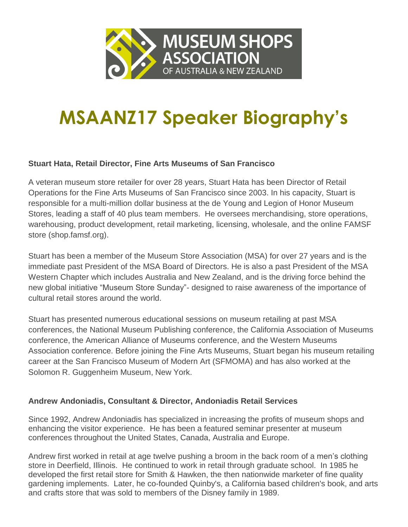

# **MSAANZ17 Speaker Biography's**

#### **Stuart Hata, Retail Director, Fine Arts Museums of San Francisco**

A veteran museum store retailer for over 28 years, Stuart Hata has been Director of Retail Operations for the Fine Arts Museums of San Francisco since 2003. In his capacity, Stuart is responsible for a multi-million dollar business at the de Young and Legion of Honor Museum Stores, leading a staff of 40 plus team members. He oversees merchandising, store operations, warehousing, product development, retail marketing, licensing, wholesale, and the online FAMSF store [\(shop.famsf.org\)](http://www.famsf.org/store).

Stuart has been a member of the Museum Store Association (MSA) for over 27 years and is the immediate past President of the MSA Board of Directors. He is also a past President of the MSA Western Chapter which includes Australia and New Zealand, and is the driving force behind the new global initiative "Museum Store Sunday"- designed to raise awareness of the importance of cultural retail stores around the world.

Stuart has presented numerous educational sessions on museum retailing at past MSA conferences, the National Museum Publishing conference, the California Association of Museums conference, the American Alliance of Museums conference, and the Western Museums Association conference. Before joining the Fine Arts Museums, Stuart began his museum retailing career at the San Francisco Museum of Modern Art (SFMOMA) and has also worked at the Solomon R. Guggenheim Museum, New York.

#### **Andrew Andoniadis, Consultant & Director, Andoniadis Retail Services**

Since 1992, Andrew Andoniadis has specialized in increasing the profits of museum shops and enhancing the visitor experience. He has been a featured seminar presenter at museum conferences throughout the United States, Canada, Australia and Europe.

Andrew first worked in retail at age twelve pushing a broom in the back room of a men's clothing store in Deerfield, Illinois. He continued to work in retail through graduate school. In 1985 he developed the first retail store for Smith & Hawken, the then nationwide marketer of fine quality gardening implements. Later, he co-founded Quinby's, a California based children's book, and arts and crafts store that was sold to members of the Disney family in 1989.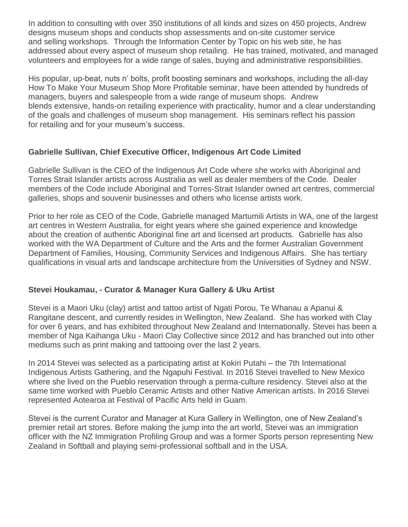In addition to consulting with over 350 institutions of all kinds and sizes on 450 projects, Andrew designs museum shops and conducts shop assessments and on-site customer service and selling workshops. Through the Information Center by Topic on his web site, he has addressed about every aspect of museum shop retailing. He has trained, motivated, and managed volunteers and employees for a wide range of sales, buying and administrative responsibilities.

His popular, up-beat, nuts n' bolts, profit boosting seminars and workshops, including the all-day How To Make Your Museum Shop More Profitable seminar, have been attended by hundreds of managers, buyers and salespeople from a wide range of museum shops. Andrew blends extensive, hands-on retailing experience with practicality, humor and a clear understanding of the goals and challenges of museum shop management. His seminars reflect his passion for retailing and for your museum's success.

#### **Gabrielle Sullivan, Chief Executive Officer, Indigenous Art Code Limited**

Gabrielle Sullivan is the CEO of the Indigenous Art Code where she works with Aboriginal and Torres Strait Islander artists across Australia as well as dealer members of the Code. Dealer members of the Code include Aboriginal and Torres-Strait Islander owned art centres, commercial galleries, shops and souvenir businesses and others who license artists work.

Prior to her role as CEO of the Code, Gabrielle managed Martumili Artists in WA, one of the largest art centres in Western Australia, for eight years where she gained experience and knowledge about the creation of authentic Aboriginal fine art and licensed art products. Gabrielle has also worked with the WA Department of Culture and the Arts and the former Australian Government Department of Families, Housing, Community Services and Indigenous Affairs. She has tertiary qualifications in visual arts and landscape architecture from the Universities of Sydney and NSW.

#### **Stevei Houkamau, - Curator & Manager Kura Gallery & Uku Artist**

Stevei is a Maori Uku (clay) artist and tattoo artist of Ngati Porou, Te Whanau a Apanui & Rangitane descent, and currently resides in Wellington, New Zealand. She has worked with Clay for over 6 years, and has exhibited throughout New Zealand and Internationally. Stevei has been a member of Nga Kaihanga Uku - Maori Clay Collective since 2012 and has branched out into other mediums such as print making and tattooing over the last 2 years.

In 2014 Stevei was selected as a participating artist at Kokiri Putahi – the 7th International Indigenous Artists Gathering, and the Ngapuhi Festival. In 2016 Stevei travelled to New Mexico where she lived on the Pueblo reservation through a perma-culture residency. Stevei also at the same time worked with Pueblo Ceramic Artists and other Native American artists. In 2016 Stevei represented Aotearoa at Festival of Pacific Arts held in Guam.

Stevei is the current Curator and Manager at Kura Gallery in Wellington, one of New Zealand's premier retail art stores. Before making the jump into the art world, Stevei was an immigration officer with the NZ Immigration Profiling Group and was a former Sports person representing New Zealand in Softball and playing semi-professional softball and in the USA.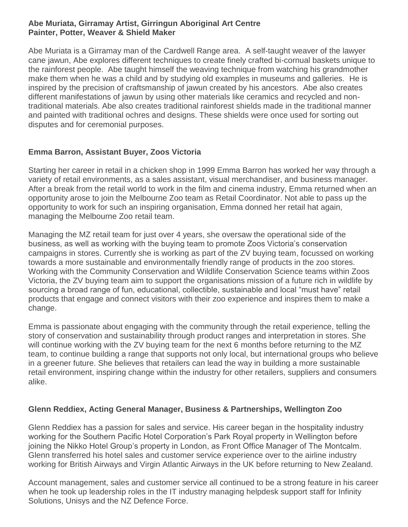#### **Abe Muriata, Girramay Artist, Girringun Aboriginal Art Centre Painter, Potter, Weaver & Shield Maker**

Abe Muriata is a Girramay man of the Cardwell Range area. A self-taught weaver of the lawyer cane jawun, Abe explores different techniques to create finely crafted bi-cornual baskets unique to the rainforest people. Abe taught himself the weaving technique from watching his grandmother make them when he was a child and by studying old examples in museums and galleries. He is inspired by the precision of craftsmanship of jawun created by his ancestors. Abe also creates different manifestations of jawun by using other materials like ceramics and recycled and nontraditional materials. Abe also creates traditional rainforest shields made in the traditional manner and painted with traditional ochres and designs. These shields were once used for sorting out disputes and for ceremonial purposes.

#### **Emma Barron, Assistant Buyer, Zoos Victoria**

Starting her career in retail in a chicken shop in 1999 Emma Barron has worked her way through a variety of retail environments, as a sales assistant, visual merchandiser, and business manager. After a break from the retail world to work in the film and cinema industry, Emma returned when an opportunity arose to join the Melbourne Zoo team as Retail Coordinator. Not able to pass up the opportunity to work for such an inspiring organisation, Emma donned her retail hat again, managing the Melbourne Zoo retail team.

Managing the MZ retail team for just over 4 years, she oversaw the operational side of the business, as well as working with the buying team to promote Zoos Victoria's conservation campaigns in stores. Currently she is working as part of the ZV buying team, focussed on working towards a more sustainable and environmentally friendly range of products in the zoo stores. Working with the Community Conservation and Wildlife Conservation Science teams within Zoos Victoria, the ZV buying team aim to support the organisations mission of a future rich in wildlife by sourcing a broad range of fun, educational, collectible, sustainable and local "must have" retail products that engage and connect visitors with their zoo experience and inspires them to make a change.

Emma is passionate about engaging with the community through the retail experience, telling the story of conservation and sustainability through product ranges and interpretation in stores. She will continue working with the ZV buying team for the next 6 months before returning to the MZ team, to continue building a range that supports not only local, but international groups who believe in a greener future. She believes that retailers can lead the way in building a more sustainable retail environment, inspiring change within the industry for other retailers, suppliers and consumers alike.

#### **Glenn Reddiex, Acting General Manager, Business & Partnerships, Wellington Zoo**

Glenn Reddiex has a passion for sales and service. His career began in the hospitality industry working for the Southern Pacific Hotel Corporation's Park Royal property in Wellington before joining the Nikko Hotel Group's property in London, as Front Office Manager of The Montcalm. Glenn transferred his hotel sales and customer service experience over to the airline industry working for British Airways and Virgin Atlantic Airways in the UK before returning to New Zealand.

Account management, sales and customer service all continued to be a strong feature in his career when he took up leadership roles in the IT industry managing helpdesk support staff for Infinity Solutions, Unisys and the NZ Defence Force.